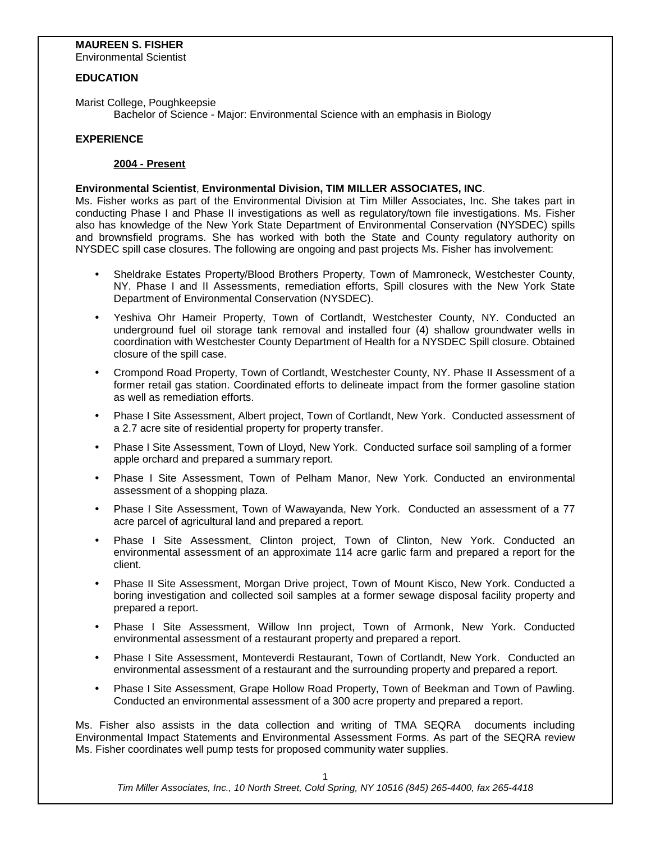### **MAUREEN S. FISHER**

Environmental Scientist

#### **EDUCATION**

Marist College, Poughkeepsie Bachelor of Science - Major: Environmental Science with an emphasis in Biology

#### **EXPERIENCE**

#### **2004 - Present**

#### **Environmental Scientist**, **Environmental Division, TIM MILLER ASSOCIATES, INC**.

Ms. Fisher works as part of the Environmental Division at Tim Miller Associates, Inc. She takes part in conducting Phase I and Phase II investigations as well as regulatory/town file investigations. Ms. Fisher also has knowledge of the New York State Department of Environmental Conservation (NYSDEC) spills and brownsfield programs. She has worked with both the State and County regulatory authority on NYSDEC spill case closures. The following are ongoing and past projects Ms. Fisher has involvement:

- Sheldrake Estates Property/Blood Brothers Property, Town of Mamroneck, Westchester County, NY. Phase I and II Assessments, remediation efforts, Spill closures with the New York State Department of Environmental Conservation (NYSDEC).
- y Yeshiva Ohr Hameir Property, Town of Cortlandt, Westchester County, NY. Conducted an underground fuel oil storage tank removal and installed four (4) shallow groundwater wells in coordination with Westchester County Department of Health for a NYSDEC Spill closure. Obtained closure of the spill case.
- Crompond Road Property, Town of Cortlandt, Westchester County, NY. Phase II Assessment of a former retail gas station. Coordinated efforts to delineate impact from the former gasoline station as well as remediation efforts.
- Phase I Site Assessment, Albert project, Town of Cortlandt, New York. Conducted assessment of a 2.7 acre site of residential property for property transfer.
- Phase I Site Assessment, Town of Lloyd, New York. Conducted surface soil sampling of a former apple orchard and prepared a summary report.
- Phase I Site Assessment, Town of Pelham Manor, New York. Conducted an environmental assessment of a shopping plaza.
- Phase I Site Assessment, Town of Wawayanda, New York. Conducted an assessment of a 77 acre parcel of agricultural land and prepared a report.
- Phase I Site Assessment, Clinton project, Town of Clinton, New York. Conducted an environmental assessment of an approximate 114 acre garlic farm and prepared a report for the client.
- Phase II Site Assessment, Morgan Drive project, Town of Mount Kisco, New York. Conducted a boring investigation and collected soil samples at a former sewage disposal facility property and prepared a report.
- Phase I Site Assessment, Willow Inn project, Town of Armonk, New York. Conducted environmental assessment of a restaurant property and prepared a report.
- Phase I Site Assessment, Monteverdi Restaurant, Town of Cortlandt, New York. Conducted an environmental assessment of a restaurant and the surrounding property and prepared a report.
- Phase I Site Assessment, Grape Hollow Road Property, Town of Beekman and Town of Pawling. Conducted an environmental assessment of a 300 acre property and prepared a report.

Ms. Fisher also assists in the data collection and writing of TMA SEQRA documents including Environmental Impact Statements and Environmental Assessment Forms. As part of the SEQRA review Ms. Fisher coordinates well pump tests for proposed community water supplies.

1

*Tim Miller Associates, Inc., 10 North Street, Cold Spring, NY 10516 (845) 265-4400, fax 265-4418*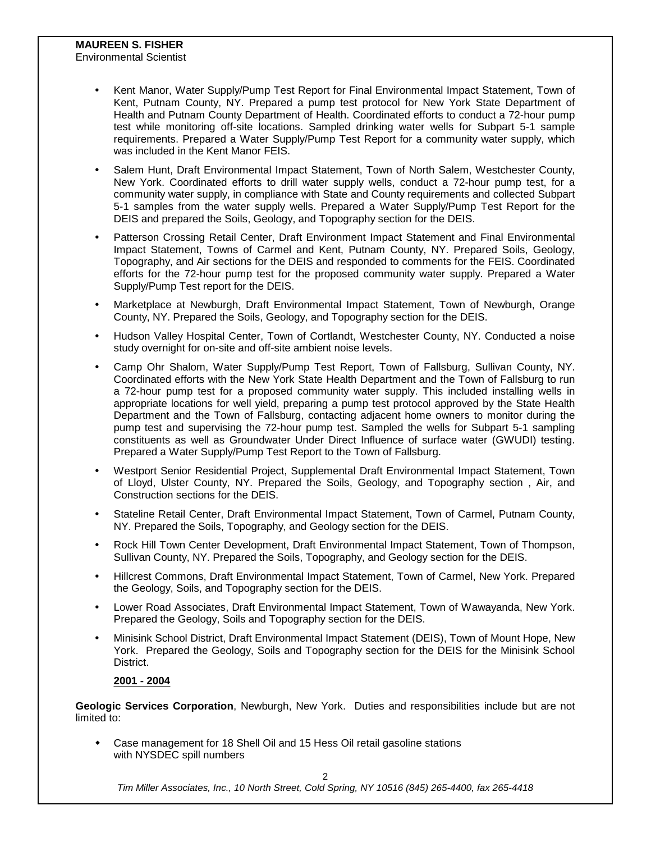## **MAUREEN S. FISHER**

Environmental Scientist

- y Kent Manor, Water Supply/Pump Test Report for Final Environmental Impact Statement, Town of Kent, Putnam County, NY. Prepared a pump test protocol for New York State Department of Health and Putnam County Department of Health. Coordinated efforts to conduct a 72-hour pump test while monitoring off-site locations. Sampled drinking water wells for Subpart 5-1 sample requirements. Prepared a Water Supply/Pump Test Report for a community water supply, which was included in the Kent Manor FEIS.
- Salem Hunt, Draft Environmental Impact Statement, Town of North Salem, Westchester County, New York. Coordinated efforts to drill water supply wells, conduct a 72-hour pump test, for a community water supply, in compliance with State and County requirements and collected Subpart 5-1 samples from the water supply wells. Prepared a Water Supply/Pump Test Report for the DEIS and prepared the Soils, Geology, and Topography section for the DEIS.
- Patterson Crossing Retail Center, Draft Environment Impact Statement and Final Environmental Impact Statement, Towns of Carmel and Kent, Putnam County, NY. Prepared Soils, Geology, Topography, and Air sections for the DEIS and responded to comments for the FEIS. Coordinated efforts for the 72-hour pump test for the proposed community water supply. Prepared a Water Supply/Pump Test report for the DEIS.
- Marketplace at Newburgh, Draft Environmental Impact Statement, Town of Newburgh, Orange County, NY. Prepared the Soils, Geology, and Topography section for the DEIS.
- Hudson Valley Hospital Center, Town of Cortlandt, Westchester County, NY. Conducted a noise study overnight for on-site and off-site ambient noise levels.
- Camp Ohr Shalom, Water Supply/Pump Test Report, Town of Fallsburg, Sullivan County, NY. Coordinated efforts with the New York State Health Department and the Town of Fallsburg to run a 72-hour pump test for a proposed community water supply. This included installing wells in appropriate locations for well yield, preparing a pump test protocol approved by the State Health Department and the Town of Fallsburg, contacting adjacent home owners to monitor during the pump test and supervising the 72-hour pump test. Sampled the wells for Subpart 5-1 sampling constituents as well as Groundwater Under Direct Influence of surface water (GWUDI) testing. Prepared a Water Supply/Pump Test Report to the Town of Fallsburg.
- y Westport Senior Residential Project, Supplemental Draft Environmental Impact Statement, Town of Lloyd, Ulster County, NY. Prepared the Soils, Geology, and Topography section , Air, and Construction sections for the DEIS.
- Stateline Retail Center, Draft Environmental Impact Statement, Town of Carmel, Putnam County, NY. Prepared the Soils, Topography, and Geology section for the DEIS.
- Rock Hill Town Center Development, Draft Environmental Impact Statement, Town of Thompson, Sullivan County, NY. Prepared the Soils, Topography, and Geology section for the DEIS.
- Hillcrest Commons, Draft Environmental Impact Statement, Town of Carmel, New York. Prepared the Geology, Soils, and Topography section for the DEIS.
- Lower Road Associates, Draft Environmental Impact Statement, Town of Wawayanda, New York. Prepared the Geology, Soils and Topography section for the DEIS.
- y Minisink School District, Draft Environmental Impact Statement (DEIS), Town of Mount Hope, New York. Prepared the Geology, Soils and Topography section for the DEIS for the Minisink School District.

### **2001 - 2004**

**Geologic Services Corporation**, Newburgh, New York. Duties and responsibilities include but are not limited to:

 Case management for 18 Shell Oil and 15 Hess Oil retail gasoline stations with NYSDEC spill numbers

 $\mathcal{L}$ 

*Tim Miller Associates, Inc., 10 North Street, Cold Spring, NY 10516 (845) 265-4400, fax 265-4418*